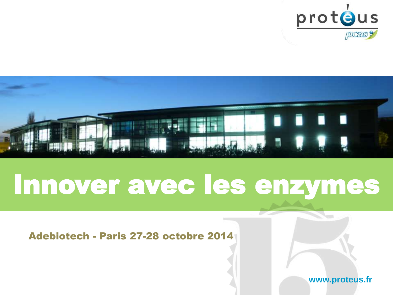



### Innover avec les enzymes

#### Adebiotech - Paris 27-28 octobre 2014

**www.proteus.fr**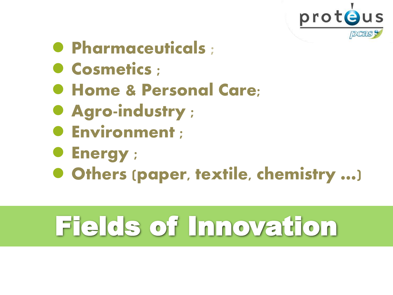

- **Pharmaceuticals :**
- **Cosmetics :**
- **Home & Personal Care;**
- **Agro-industry ;**
- **Environment ;**
- **Energy ;**
- Others (paper, textile, chemistry …)

# Fields of Innovation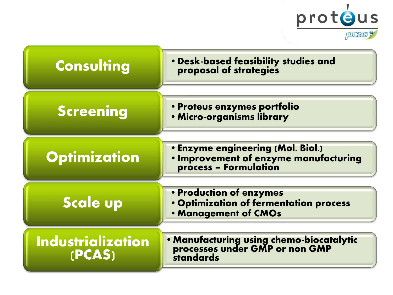

| <b>Consulting</b>                  | . Desk-based feasibility studies and<br>proposal of strategies                                      |
|------------------------------------|-----------------------------------------------------------------------------------------------------|
| Screening                          | · Proteus enzymes portfolio<br>· Micro-organisms library                                            |
| <b>Optimization</b>                | . Enzyme engineering (Mol. Biol.)<br>· Improvement of enzyme manufacturing<br>process - Formulation |
| <b>Scale up</b>                    | . Production of enzymes<br>. Optimization of fermentation process<br>. Management of CMOs           |
| <b>Industrialization</b><br>(PCAS) | • Manufacturing using chemo-biocatalytic<br>processes under GMP or non GMP<br><b>standards</b>      |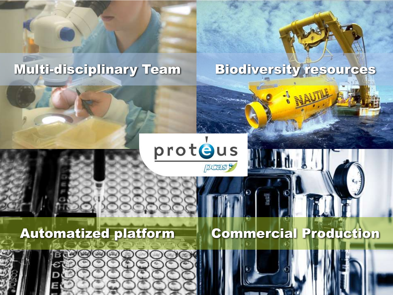

#### Multi-disciplinary Team Biodiversity resources

#### protous pcas9

#### Automatized platform

**ROOOO** 

#### Commercial Production

Julie



温度

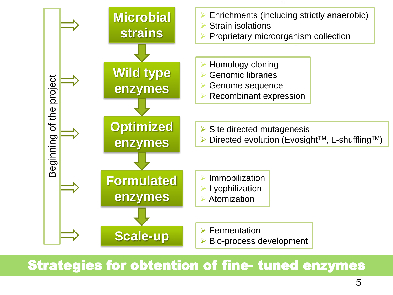

#### Strategies for obtention of fine- tuned enzymes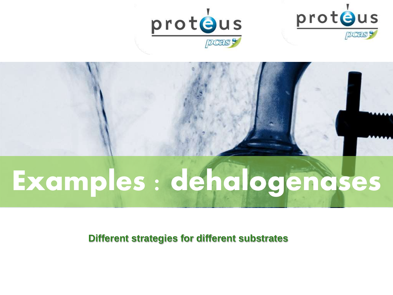





# **Examples : dehalogenases**

**Different strategies for different substrates**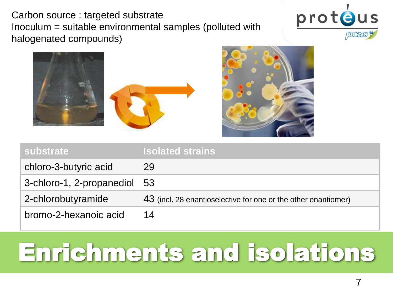Carbon source : targeted substrate Inoculum = suitable environmental samples (polluted with halogenated compounds)







| <b>substrate</b>             | <b>Isolated strains</b>                                        |
|------------------------------|----------------------------------------------------------------|
| chloro-3-butyric acid        | 29                                                             |
| 3-chloro-1, 2-propanediol 53 |                                                                |
| 2-chlorobutyramide           | 43 (incl. 28 enantioselective for one or the other enantiomer) |
| bromo-2-hexanoic acid        | 14                                                             |

## Enrichments and isolations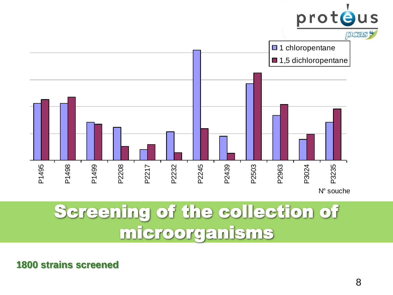

### Screening of the collection of microorganisms

**1800 strains screened**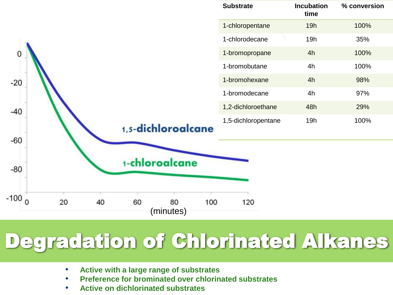

- **Active with a large range of substrates**
- **Preference for brominated over chlorinated substrates**
- **Active on dichlorinated substrates**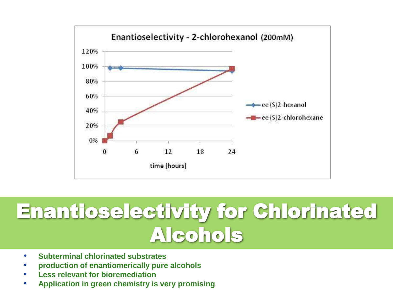

### Enantioselectivity for Chlorinated Alcohols

- **Subterminal chlorinated substrates**
- **production of enantiomerically pure alcohols**
- **Less relevant for bioremediation**
- **Application in green chemistry is very promising**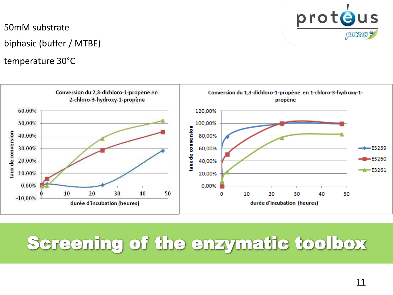

50mM substrate biphasic (buffer / MTBE)

temperature 30°C



### Screening of the enzymatic toolbox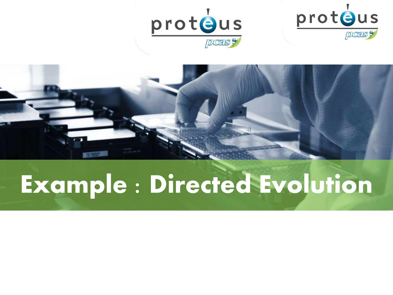





# **Example : Directed Evolution**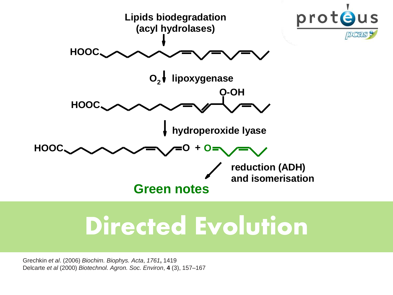

### **Directed Evolution**

Grechkin *et al*. (2006) *Biochim. Biophys. Acta*, *1761***,** 1419 Delcarte *et al* (2000) *Biotechnol. Agron. Soc. Environ*, **4** (3), 157–167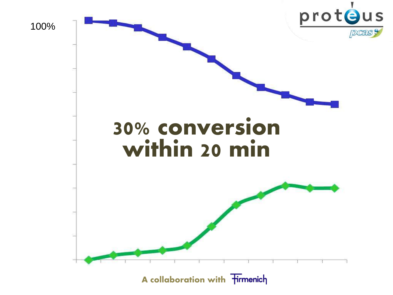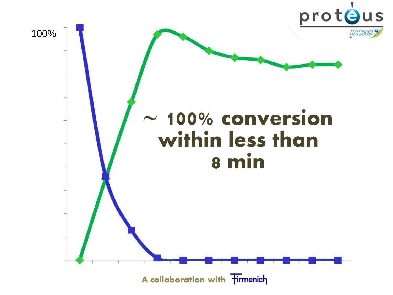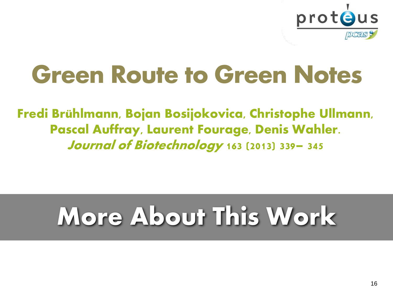

## Green Route to Green Notes

Fredi Brühlmann, Bojan Bosijokovica, Christophe Ullmann, Pascal Auffray, Laurent Fourage, Denis Wahler. Journal of Biotechnology **163** (2013) 339– 345

# **More About This Work**